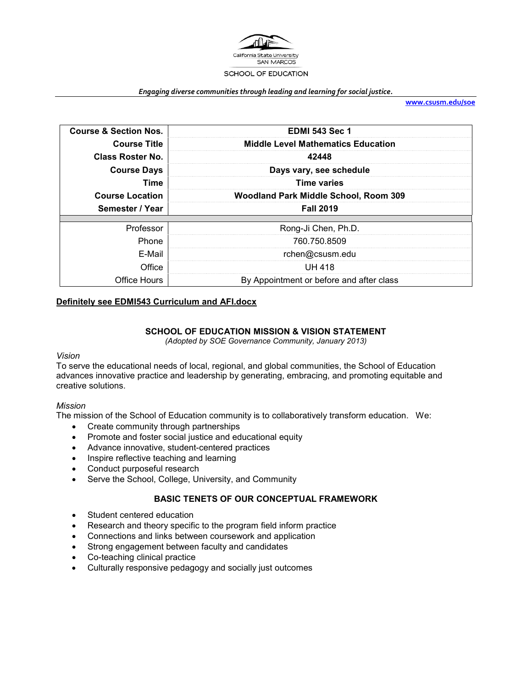

#### *Engaging diverse communities through leading and learning for social justice.*

**[www.csusm.edu/soe](http://www.csusm.edu/soe)**

| <b>Course &amp; Section Nos.</b> | <b>EDMI 543 Sec 1</b>                     |  |
|----------------------------------|-------------------------------------------|--|
| <b>Course Title</b>              | <b>Middle Level Mathematics Education</b> |  |
| Class Roster No.                 | 42448                                     |  |
| <b>Course Days</b>               | Days vary, see schedule                   |  |
| Time                             | <b>Time varies</b>                        |  |
| <b>Course Location</b>           | Woodland Park Middle School, Room 309     |  |
|                                  |                                           |  |
| Semester / Year                  | <b>Fall 2019</b>                          |  |
|                                  |                                           |  |
| Professor                        | Rong-Ji Chen, Ph.D.                       |  |
| Phone                            | 760.750.8509                              |  |
| E-Mail                           | rchen@csusm.edu                           |  |
| Office                           | <b>UH 418</b>                             |  |

## **Definitely see EDMI543 Curriculum and AFI.docx**

## **SCHOOL OF EDUCATION MISSION & VISION STATEMENT**

*(Adopted by SOE Governance Community, January 2013)*

### *Vision*

To serve the educational needs of local, regional, and global communities, the School of Education advances innovative practice and leadership by generating, embracing, and promoting equitable and creative solutions.

### *Mission*

The mission of the School of Education community is to collaboratively transform education. We:

- Create community through partnerships
- Promote and foster social justice and educational equity
- Advance innovative, student-centered practices
- Inspire reflective teaching and learning
- Conduct purposeful research
- Serve the School, College, University, and Community

# **BASIC TENETS OF OUR CONCEPTUAL FRAMEWORK**

- Student centered education
- Research and theory specific to the program field inform practice
- Connections and links between coursework and application
- Strong engagement between faculty and candidates
- Co-teaching clinical practice
- Culturally responsive pedagogy and socially just outcomes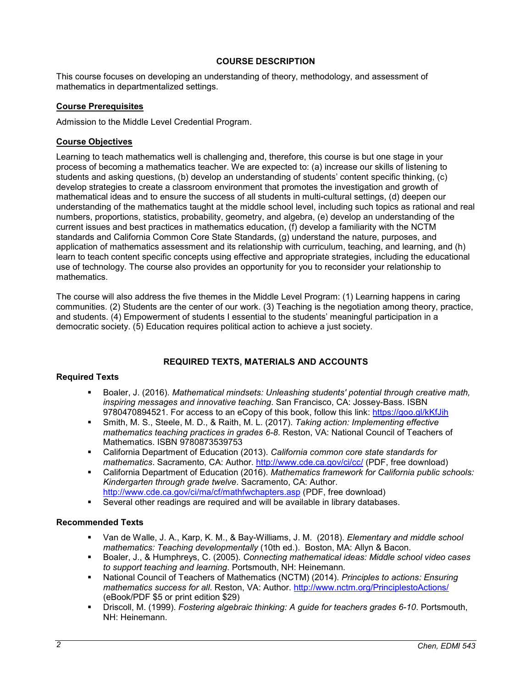## **COURSE DESCRIPTION**

This course focuses on developing an understanding of theory, methodology, and assessment of mathematics in departmentalized settings.

### **Course Prerequisites**

Admission to the Middle Level Credential Program.

## **Course Objectives**

Learning to teach mathematics well is challenging and, therefore, this course is but one stage in your process of becoming a mathematics teacher. We are expected to: (a) increase our skills of listening to students and asking questions, (b) develop an understanding of students' content specific thinking, (c) develop strategies to create a classroom environment that promotes the investigation and growth of mathematical ideas and to ensure the success of all students in multi-cultural settings, (d) deepen our understanding of the mathematics taught at the middle school level, including such topics as rational and real numbers, proportions, statistics, probability, geometry, and algebra, (e) develop an understanding of the current issues and best practices in mathematics education, (f) develop a familiarity with the NCTM standards and California Common Core State Standards, (g) understand the nature, purposes, and application of mathematics assessment and its relationship with curriculum, teaching, and learning, and (h) learn to teach content specific concepts using effective and appropriate strategies, including the educational use of technology. The course also provides an opportunity for you to reconsider your relationship to mathematics.

The course will also address the five themes in the Middle Level Program: (1) Learning happens in caring communities. (2) Students are the center of our work. (3) Teaching is the negotiation among theory, practice, and students. (4) Empowerment of students I essential to the students' meaningful participation in a democratic society. (5) Education requires political action to achieve a just society.

# **REQUIRED TEXTS, MATERIALS AND ACCOUNTS**

### **Required Texts**

- Boaler, J. (2016). *Mathematical mindsets: Unleashing students' potential through creative math, inspiring messages and innovative teaching*. San Francisco, CA: Jossey-Bass. ISBN 9780470894521. For access to an eCopy of this book, follow this link:<https://goo.gl/kKfJih>
- Smith, M. S., Steele, M. D., & Raith, M. L. (2017). *Taking action: Implementing effective mathematics teaching practices in grades 6-8*. Reston, VA: National Council of Teachers of Mathematics. ISBN 9780873539753
- California Department of Education (2013). *California common core state standards for mathematics*. Sacramento, CA: Author.<http://www.cde.ca.gov/ci/cc/> (PDF, free download)
- California Department of Education (2016). *Mathematics framework for California public schools: Kindergarten through grade twelve*. Sacramento, CA: Author. <http://www.cde.ca.gov/ci/ma/cf/mathfwchapters.asp> (PDF, free download)
- Several other readings are required and will be available in library databases.

# **Recommended Texts**

- Van de Walle, J. A., Karp, K. M., & Bay-Williams, J. M. (2018). *Elementary and middle school mathematics: Teaching developmentally* (10th ed.). Boston, MA: Allyn & Bacon.
- Boaler, J., & Humphreys, C. (2005). *Connecting mathematical ideas: Middle school video cases to support teaching and learning*. Portsmouth, NH: Heinemann.
- National Council of Teachers of Mathematics (NCTM) (2014). *Principles to actions: Ensuring mathematics success for all*. Reston, VA: Author.<http://www.nctm.org/PrinciplestoActions/> (eBook/PDF \$5 or print edition \$29)
- Driscoll, M. (1999). *Fostering algebraic thinking: A guide for teachers grades 6-10*. Portsmouth, NH: Heinemann.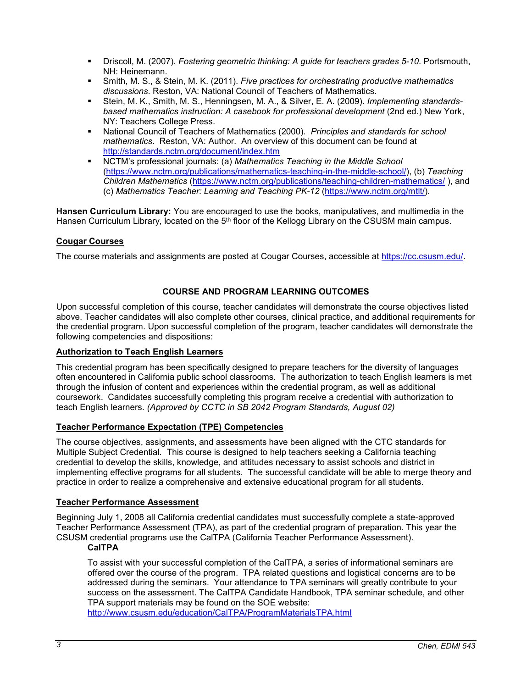- Driscoll, M. (2007). *Fostering geometric thinking: A guide for teachers grades 5-10*. Portsmouth, NH: Heinemann.
- Smith, M. S., & Stein, M. K. (2011). *Five practices for orchestrating productive mathematics discussions*. Reston, VA: National Council of Teachers of Mathematics.
- Stein, M. K., Smith, M. S., Henningsen, M. A., & Silver, E. A. (2009). *Implementing standardsbased mathematics instruction: A casebook for professional development* (2nd ed.) New York, NY: Teachers College Press.
- National Council of Teachers of Mathematics (2000). *Principles and standards for school mathematics*. Reston, VA: Author. An overview of this document can be found at <http://standards.nctm.org/document/index.htm>
- NCTM's professional journals: (a) *Mathematics Teaching in the Middle School* [\(https://www.nctm.org/publications/mathematics-teaching-in-the-middle-school/\)](https://www.nctm.org/publications/mathematics-teaching-in-the-middle-school/), (b) *Teaching Children Mathematics* [\(https://www.nctm.org/publications/teaching-children-mathematics/](https://www.nctm.org/publications/teaching-children-mathematics/) ), and (c) *Mathematics Teacher: Learning and Teaching PK-12* [\(https://www.nctm.org/mtlt/\)](https://www.nctm.org/mtlt/).

**Hansen Curriculum Library:** You are encouraged to use the books, manipulatives, and multimedia in the Hansen Curriculum Library, located on the 5<sup>th</sup> floor of the Kellogg Library on the CSUSM main campus.

# **Cougar Courses**

The course materials and assignments are posted at Cougar Courses, accessible at [https://cc.csusm.edu/.](https://cc.csusm.edu/)

# **COURSE AND PROGRAM LEARNING OUTCOMES**

Upon successful completion of this course, teacher candidates will demonstrate the course objectives listed above. Teacher candidates will also complete other courses, clinical practice, and additional requirements for the credential program. Upon successful completion of the program, teacher candidates will demonstrate the following competencies and dispositions:

# **Authorization to Teach English Learners**

This credential program has been specifically designed to prepare teachers for the diversity of languages often encountered in California public school classrooms. The authorization to teach English learners is met through the infusion of content and experiences within the credential program, as well as additional coursework. Candidates successfully completing this program receive a credential with authorization to teach English learners. *(Approved by CCTC in SB 2042 Program Standards, August 02)*

# **Teacher Performance Expectation (TPE) Competencies**

The course objectives, assignments, and assessments have been aligned with the CTC standards for Multiple Subject Credential. This course is designed to help teachers seeking a California teaching credential to develop the skills, knowledge, and attitudes necessary to assist schools and district in implementing effective programs for all students. The successful candidate will be able to merge theory and practice in order to realize a comprehensive and extensive educational program for all students.

# **Teacher Performance Assessment**

Beginning July 1, 2008 all California credential candidates must successfully complete a state-approved Teacher Performance Assessment (TPA), as part of the credential program of preparation. This year the CSUSM credential programs use the CalTPA (California Teacher Performance Assessment).

# **CalTPA**

To assist with your successful completion of the CalTPA, a series of informational seminars are offered over the course of the program. TPA related questions and logistical concerns are to be addressed during the seminars. Your attendance to TPA seminars will greatly contribute to your success on the assessment. The CalTPA Candidate Handbook, TPA seminar schedule, and other TPA support materials may be found on the SOE website:

<http://www.csusm.edu/education/CalTPA/ProgramMaterialsTPA.html>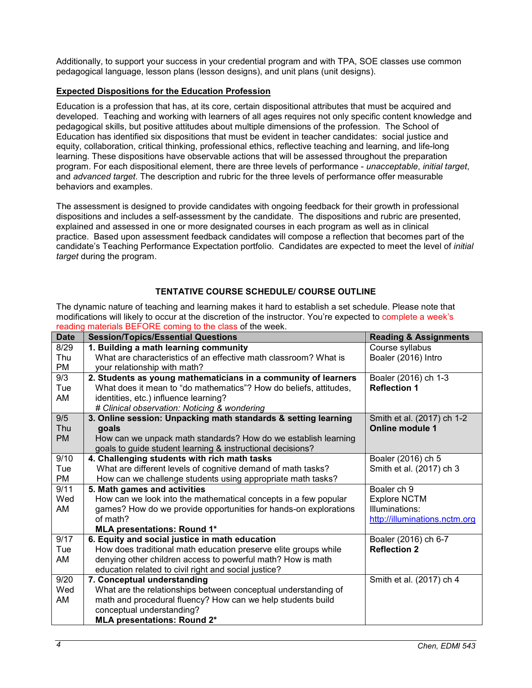Additionally, to support your success in your credential program and with TPA, SOE classes use common pedagogical language, lesson plans (lesson designs), and unit plans (unit designs).

# **Expected Dispositions for the Education Profession**

Education is a profession that has, at its core, certain dispositional attributes that must be acquired and developed. Teaching and working with learners of all ages requires not only specific content knowledge and pedagogical skills, but positive attitudes about multiple dimensions of the profession. The School of Education has identified six dispositions that must be evident in teacher candidates: social justice and equity, collaboration, critical thinking, professional ethics, reflective teaching and learning, and life-long learning. These dispositions have observable actions that will be assessed throughout the preparation program. For each dispositional element, there are three levels of performance - *unacceptable*, *initial target*, and *advanced target*. The description and rubric for the three levels of performance offer measurable behaviors and examples.

The assessment is designed to provide candidates with ongoing feedback for their growth in professional dispositions and includes a self-assessment by the candidate. The dispositions and rubric are presented, explained and assessed in one or more designated courses in each program as well as in clinical practice. Based upon assessment feedback candidates will compose a reflection that becomes part of the candidate's Teaching Performance Expectation portfolio. Candidates are expected to meet the level of *initial target* during the program.

# **TENTATIVE COURSE SCHEDULE/ COURSE OUTLINE**

The dynamic nature of teaching and learning makes it hard to establish a set schedule. Please note that modifications will likely to occur at the discretion of the instructor. You're expected to complete a week's reading materials BEFORE coming to the class of the week.

| <b>Date</b> | <b>Session/Topics/Essential Questions</b>                         | <b>Reading &amp; Assignments</b> |
|-------------|-------------------------------------------------------------------|----------------------------------|
| 8/29        | 1. Building a math learning community                             | Course syllabus                  |
| Thu         | What are characteristics of an effective math classroom? What is  | Boaler (2016) Intro              |
| PM          | your relationship with math?                                      |                                  |
| 9/3         | 2. Students as young mathematicians in a community of learners    | Boaler (2016) ch 1-3             |
| Tue         | What does it mean to "do mathematics"? How do beliefs, attitudes, | <b>Reflection 1</b>              |
| AM          | identities, etc.) influence learning?                             |                                  |
|             | # Clinical observation: Noticing & wondering                      |                                  |
| 9/5         | 3. Online session: Unpacking math standards & setting learning    | Smith et al. (2017) ch 1-2       |
| Thu         | goals                                                             | <b>Online module 1</b>           |
| <b>PM</b>   | How can we unpack math standards? How do we establish learning    |                                  |
|             | goals to guide student learning & instructional decisions?        |                                  |
| 9/10        | 4. Challenging students with rich math tasks                      | Boaler (2016) ch 5               |
| Tue         | What are different levels of cognitive demand of math tasks?      | Smith et al. (2017) ch 3         |
| PM          | How can we challenge students using appropriate math tasks?       |                                  |
| 9/11        | 5. Math games and activities                                      | Boaler ch 9                      |
| Wed         | How can we look into the mathematical concepts in a few popular   | <b>Explore NCTM</b>              |
| AM          | games? How do we provide opportunities for hands-on explorations  | Illuminations:                   |
|             | of math?                                                          | http://illuminations.nctm.org    |
|             | <b>MLA presentations: Round 1*</b>                                |                                  |
| 9/17        | 6. Equity and social justice in math education                    | Boaler (2016) ch 6-7             |
| Tue         | How does traditional math education preserve elite groups while   | <b>Reflection 2</b>              |
| AM          | denying other children access to powerful math? How is math       |                                  |
|             | education related to civil right and social justice?              |                                  |
| 9/20        | 7. Conceptual understanding                                       | Smith et al. (2017) ch 4         |
| Wed         | What are the relationships between conceptual understanding of    |                                  |
| AM          | math and procedural fluency? How can we help students build       |                                  |
|             | conceptual understanding?                                         |                                  |
|             | <b>MLA presentations: Round 2*</b>                                |                                  |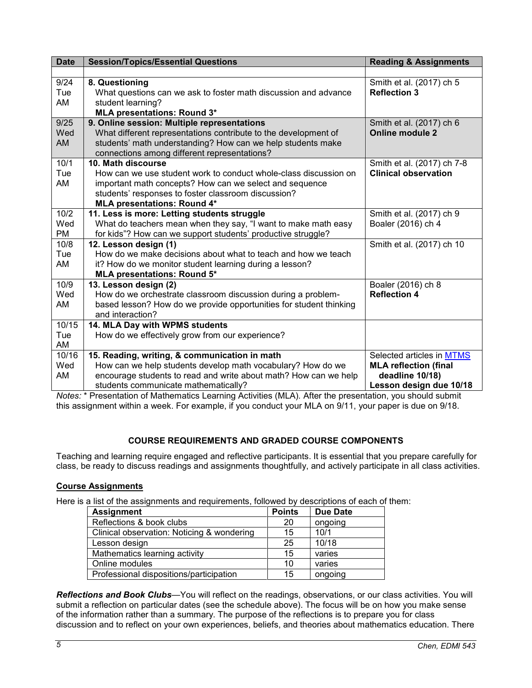| <b>Date</b> | <b>Session/Topics/Essential Questions</b>                          | <b>Reading &amp; Assignments</b> |
|-------------|--------------------------------------------------------------------|----------------------------------|
|             |                                                                    |                                  |
| 9/24        | 8. Questioning                                                     | Smith et al. (2017) ch 5         |
| Tue         | What questions can we ask to foster math discussion and advance    | <b>Reflection 3</b>              |
| AM          | student learning?                                                  |                                  |
|             | <b>MLA presentations: Round 3*</b>                                 |                                  |
| 9/25        | 9. Online session: Multiple representations                        | Smith et al. (2017) ch 6         |
| Wed         | What different representations contribute to the development of    | <b>Online module 2</b>           |
| AM          | students' math understanding? How can we help students make        |                                  |
|             | connections among different representations?                       |                                  |
| 10/1        | 10. Math discourse                                                 | Smith et al. (2017) ch 7-8       |
| Tue         | How can we use student work to conduct whole-class discussion on   | <b>Clinical observation</b>      |
| AM          | important math concepts? How can we select and sequence            |                                  |
|             | students' responses to foster classroom discussion?                |                                  |
|             | <b>MLA presentations: Round 4*</b>                                 |                                  |
| 10/2        | 11. Less is more: Letting students struggle                        | Smith et al. (2017) ch 9         |
| Wed         | What do teachers mean when they say, "I want to make math easy     | Boaler (2016) ch 4               |
| <b>PM</b>   | for kids"? How can we support students' productive struggle?       |                                  |
| 10/8        | 12. Lesson design (1)                                              | Smith et al. (2017) ch 10        |
| Tue         | How do we make decisions about what to teach and how we teach      |                                  |
| AM          | it? How do we monitor student learning during a lesson?            |                                  |
|             | MLA presentations: Round 5*                                        |                                  |
| 10/9        | 13. Lesson design (2)                                              | Boaler (2016) ch 8               |
| Wed         | How do we orchestrate classroom discussion during a problem-       | <b>Reflection 4</b>              |
| AM          | based lesson? How do we provide opportunities for student thinking |                                  |
|             | and interaction?                                                   |                                  |
| 10/15       | 14. MLA Day with WPMS students                                     |                                  |
| Tue         | How do we effectively grow from our experience?                    |                                  |
| AM          |                                                                    |                                  |
| 10/16       | 15. Reading, writing, & communication in math                      | Selected articles in MTMS        |
| Wed         | How can we help students develop math vocabulary? How do we        | <b>MLA reflection (final</b>     |
| AM          | encourage students to read and write about math? How can we help   | deadline 10/18)                  |
|             | students communicate mathematically?                               | Lesson design due 10/18          |

*Notes:* \* Presentation of Mathematics Learning Activities (MLA)*.* After the presentation, you should submit this assignment within a week. For example, if you conduct your MLA on 9/11, your paper is due on 9/18.

# **COURSE REQUIREMENTS AND GRADED COURSE COMPONENTS**

Teaching and learning require engaged and reflective participants. It is essential that you prepare carefully for class, be ready to discuss readings and assignments thoughtfully, and actively participate in all class activities.

# **Course Assignments**

Here is a list of the assignments and requirements, followed by descriptions of each of them:

| <b>Assignment</b>                          | <b>Points</b> | <b>Due Date</b> |
|--------------------------------------------|---------------|-----------------|
| Reflections & book clubs                   | 20            | ongoing         |
| Clinical observation: Noticing & wondering | 15            | 10/1            |
| Lesson design                              | 25            | 10/18           |
| Mathematics learning activity              | 15            | varies          |
| Online modules                             | 10            | varies          |
| Professional dispositions/participation    | 15            | ongoing         |

*Reflections and Book Clubs*—You will reflect on the readings, observations, or our class activities. You will submit a reflection on particular dates (see the schedule above). The focus will be on how you make sense of the information rather than a summary. The purpose of the reflections is to prepare you for class discussion and to reflect on your own experiences, beliefs, and theories about mathematics education. There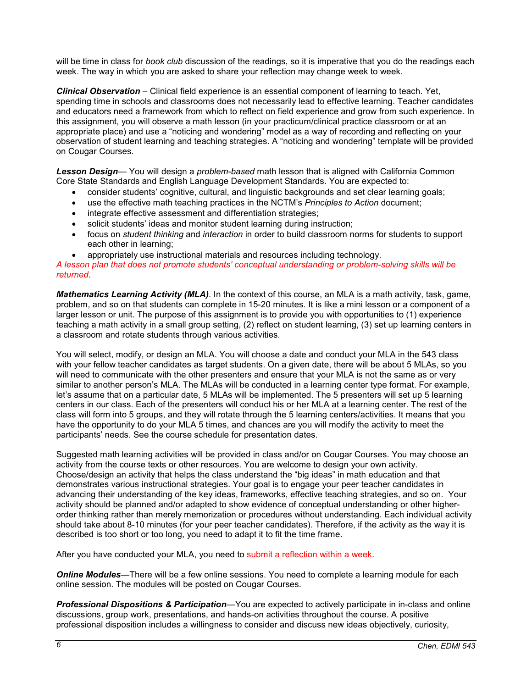will be time in class for *book club* discussion of the readings, so it is imperative that you do the readings each week. The way in which you are asked to share your reflection may change week to week.

*Clinical Observation* – Clinical field experience is an essential component of learning to teach. Yet, spending time in schools and classrooms does not necessarily lead to effective learning. Teacher candidates and educators need a framework from which to reflect on field experience and grow from such experience. In this assignment, you will observe a math lesson (in your practicum/clinical practice classroom or at an appropriate place) and use a "noticing and wondering" model as a way of recording and reflecting on your observation of student learning and teaching strategies. A "noticing and wondering" template will be provided on Cougar Courses.

*Lesson Design*— You will design a *problem-based* math lesson that is aligned with California Common Core State Standards and English Language Development Standards. You are expected to:

- consider students' cognitive, cultural, and linguistic backgrounds and set clear learning goals;
- use the effective math teaching practices in the NCTM's *Principles to Action* document;
- integrate effective assessment and differentiation strategies;
- solicit students' ideas and monitor student learning during instruction;
- focus on *student thinking* and *interaction* in order to build classroom norms for students to support each other in learning;
- appropriately use instructional materials and resources including technology.

*A lesson plan that does not promote students' conceptual understanding or problem-solving skills will be returned*.

*Mathematics Learning Activity (MLA)*. In the context of this course, an MLA is a math activity, task, game, problem, and so on that students can complete in 15-20 minutes. It is like a mini lesson or a component of a larger lesson or unit. The purpose of this assignment is to provide you with opportunities to (1) experience teaching a math activity in a small group setting, (2) reflect on student learning, (3) set up learning centers in a classroom and rotate students through various activities.

You will select, modify, or design an MLA. You will choose a date and conduct your MLA in the 543 class with your fellow teacher candidates as target students. On a given date, there will be about 5 MLAs, so you will need to communicate with the other presenters and ensure that your MLA is not the same as or very similar to another person's MLA. The MLAs will be conducted in a learning center type format. For example, let's assume that on a particular date, 5 MLAs will be implemented. The 5 presenters will set up 5 learning centers in our class. Each of the presenters will conduct his or her MLA at a learning center. The rest of the class will form into 5 groups, and they will rotate through the 5 learning centers/activities. It means that you have the opportunity to do your MLA 5 times, and chances are you will modify the activity to meet the participants' needs. See the course schedule for presentation dates.

Suggested math learning activities will be provided in class and/or on Cougar Courses. You may choose an activity from the course texts or other resources. You are welcome to design your own activity. Choose/design an activity that helps the class understand the "big ideas" in math education and that demonstrates various instructional strategies. Your goal is to engage your peer teacher candidates in advancing their understanding of the key ideas, frameworks, effective teaching strategies, and so on. Your activity should be planned and/or adapted to show evidence of conceptual understanding or other higherorder thinking rather than merely memorization or procedures without understanding. Each individual activity should take about 8-10 minutes (for your peer teacher candidates). Therefore, if the activity as the way it is described is too short or too long, you need to adapt it to fit the time frame.

After you have conducted your MLA, you need to submit a reflection within a week.

*Online Modules*—There will be a few online sessions. You need to complete a learning module for each online session. The modules will be posted on Cougar Courses.

*Professional Dispositions & Participation*—You are expected to actively participate in in-class and online discussions, group work, presentations, and hands-on activities throughout the course. A positive professional disposition includes a willingness to consider and discuss new ideas objectively, curiosity,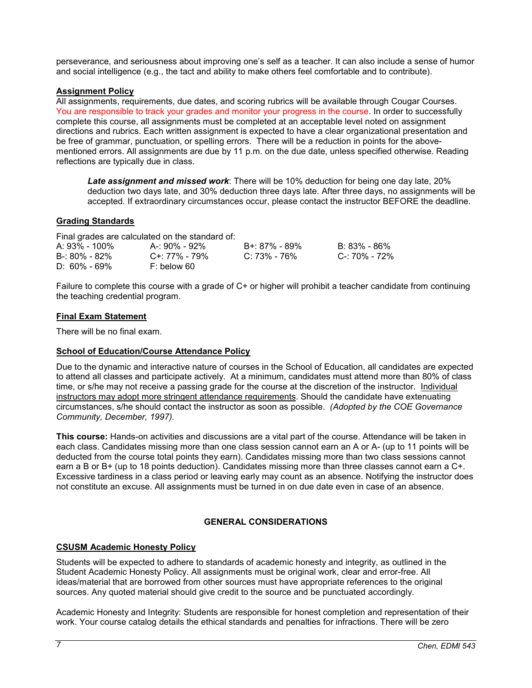perseverance, and seriousness about improving one's self as a teacher. It can also include a sense of humor and social intelligence (e.g., the tact and ability to make others feel comfortable and to contribute).

## **Assignment Policy**

All assignments, requirements, due dates, and scoring rubrics will be available through Cougar Courses. You are responsible to track your grades and monitor your progress in the course. In order to successfully complete this course, all assignments must be completed at an acceptable level noted on assignment directions and rubrics. Each written assignment is expected to have a clear organizational presentation and be free of grammar, punctuation, or spelling errors. There will be a reduction in points for the abovementioned errors. All assignments are due by 11 p.m. on the due date, unless specified otherwise. Reading reflections are typically due in class.

*Late assignment and missed work*: There will be 10% deduction for being one day late, 20% deduction two days late, and 30% deduction three days late. After three days, no assignments will be accepted. If extraordinary circumstances occur, please contact the instructor BEFORE the deadline.

## **Grading Standards**

Final grades are calculated on the standard of:

| A: 93% - 100%     | A-: 90% - 92% | B+: 87% - 89% | B: 83% - 86%  |
|-------------------|---------------|---------------|---------------|
| $B - 80\% - 82\%$ | C+: 77% - 79% | C: 73% - 76%  | C-: 70% - 72% |
| $D: 60\% - 69\%$  | F: below 60   |               |               |

Failure to complete this course with a grade of C+ or higher will prohibit a teacher candidate from continuing the teaching credential program.

### **Final Exam Statement**

There will be no final exam.

### **School of Education/Course Attendance Policy**

Due to the dynamic and interactive nature of courses in the School of Education, all candidates are expected to attend all classes and participate actively. At a minimum, candidates must attend more than 80% of class time, or s/he may not receive a passing grade for the course at the discretion of the instructor. Individual instructors may adopt more stringent attendance requirements. Should the candidate have extenuating circumstances, s/he should contact the instructor as soon as possible. *(Adopted by the COE Governance Community, December, 1997).*

**This course:** Hands-on activities and discussions are a vital part of the course. Attendance will be taken in each class. Candidates missing more than one class session cannot earn an A or A- (up to 11 points will be deducted from the course total points they earn). Candidates missing more than two class sessions cannot earn a B or B+ (up to 18 points deduction). Candidates missing more than three classes cannot earn a C+. Excessive tardiness in a class period or leaving early may count as an absence. Notifying the instructor does not constitute an excuse. All assignments must be turned in on due date even in case of an absence.

# **GENERAL CONSIDERATIONS**

### **CSUSM Academic Honesty Policy**

Students will be expected to adhere to standards of academic honesty and integrity, as outlined in the Student Academic Honesty Policy. All assignments must be original work, clear and error-free. All ideas/material that are borrowed from other sources must have appropriate references to the original sources. Any quoted material should give credit to the source and be punctuated accordingly.

Academic Honesty and Integrity: Students are responsible for honest completion and representation of their work. Your course catalog details the ethical standards and penalties for infractions. There will be zero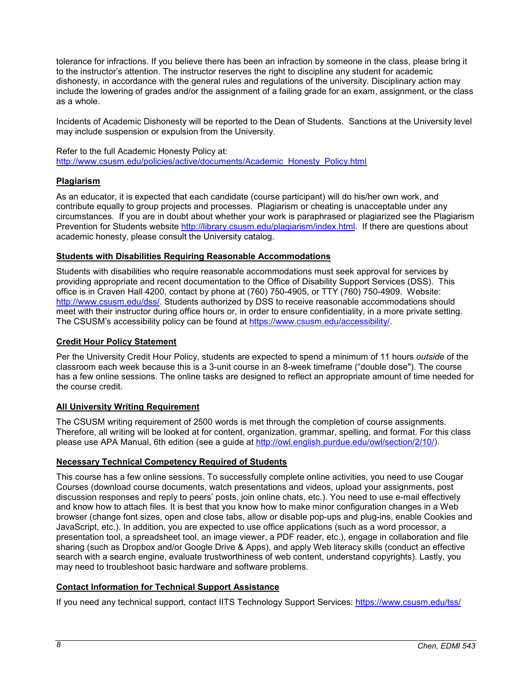tolerance for infractions. If you believe there has been an infraction by someone in the class, please bring it to the instructor's attention. The instructor reserves the right to discipline any student for academic dishonesty, in accordance with the general rules and regulations of the university. Disciplinary action may include the lowering of grades and/or the assignment of a failing grade for an exam, assignment, or the class as a whole.

Incidents of Academic Dishonesty will be reported to the Dean of Students. Sanctions at the University level may include suspension or expulsion from the University.

Refer to the full Academic Honesty Policy at: [http://www.csusm.edu/policies/active/documents/Academic\\_Honesty\\_Policy.html](http://www.csusm.edu/policies/active/documents/Academic_Honesty_Policy.html)

# **Plagiarism**

As an educator, it is expected that each candidate (course participant) will do his/her own work, and contribute equally to group projects and processes. Plagiarism or cheating is unacceptable under any circumstances. If you are in doubt about whether your work is paraphrased or plagiarized see the Plagiarism Prevention for Students website [http://library.csusm.edu/plagiarism/index.html.](http://library.csusm.edu/plagiarism/index.html) If there are questions about academic honesty, please consult the University catalog.

### **Students with Disabilities Requiring Reasonable Accommodations**

Students with disabilities who require reasonable accommodations must seek approval for services by providing appropriate and recent documentation to the Office of Disability Support Services (DSS). This office is in Craven Hall 4200, contact by phone at (760) 750-4905, or TTY (760) 750-4909. Website: [http://www.csusm.edu/dss/.](http://www.csusm.edu/dss/) Students authorized by DSS to receive reasonable accommodations should meet with their instructor during office hours or, in order to ensure confidentiality, in a more private setting. The CSUSM's accessibility policy can be found at [https://www.csusm.edu/accessibility/.](https://www.csusm.edu/accessibility/)

## **Credit Hour Policy Statement**

Per the University Credit Hour Policy, students are expected to spend a minimum of 11 hours *outside* of the classroom each week because this is a 3-unit course in an 8-week timeframe ("double dose"). The course has a few online sessions. The online tasks are designed to reflect an appropriate amount of time needed for the course credit.

### **All University Writing Requirement**

The CSUSM writing requirement of 2500 words is met through the completion of course assignments. Therefore, all writing will be looked at for content, organization, grammar, spelling, and format. For this class please use APA Manual, 6th edition (see a guide at [http://owl.english.purdue.edu/owl/section/2/10/\)](http://owl.english.purdue.edu/owl/section/2/10/).

# **Necessary Technical Competency Required of Students**

This course has a few online sessions. To successfully complete online activities, you need to use Cougar Courses (download course documents, watch presentations and videos, upload your assignments, post discussion responses and reply to peers' posts, join online chats, etc.). You need to use e-mail effectively and know how to attach files. It is best that you know how to make minor configuration changes in a Web browser (change font sizes, open and close tabs, allow or disable pop-ups and plug-ins, enable Cookies and JavaScript, etc.). In addition, you are expected to use office applications (such as a word processor, a presentation tool, a spreadsheet tool, an image viewer, a PDF reader, etc.), engage in collaboration and file sharing (such as Dropbox and/or Google Drive & Apps), and apply Web literacy skills (conduct an effective search with a search engine, evaluate trustworthiness of web content, understand copyrights). Lastly, you may need to troubleshoot basic hardware and software problems.

## **Contact Information for Technical Support Assistance**

If you need any technical support, contact IITS Technology Support Services:<https://www.csusm.edu/tss/>